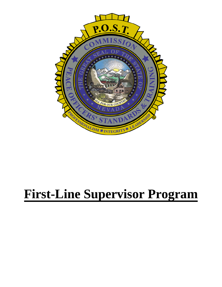

# **First-Line Supervisor Program**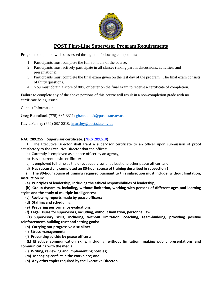

### **POST First-Line Supervisor Program Requirements**

Program completion will be assessed through the following components:

- 1. Participants must complete the full 80 hours of the course.
- 2. Participants must actively participate in all classes (taking part in discussions, activities, and presentations).
- 3. Participants must complete the final exam given on the last day of the program. The final exam consists of thirty questions.
- 4. You must obtain a score of 80% or better on the final exam to receive a certificate of completion.

Failure to complete any of the above portions of this course will result in a non-completion grade with no certificate being issued.

Contact Information:

Greg Bennallack (775) 687-3311; [gbennallack](mailto:gbennallack@post.state.nv.us)@post.state.nv.us

Kayla Parsley (775) 687-3310; kparsley[@post.state.nv.us](mailto:kparsley@post.state.nv.us)

#### **NAC 289.255 Supervisor certificate. (**[NRS 289.510](https://www.leg.state.nv.us/NRS/NRS-289.html#NRS289Sec510)**)**

1. The Executive Director shall grant a supervisor certificate to an officer upon submission of proof satisfactory to the Executive Director that the officer:

(a) Currently is employed as a peace officer by an agency;

(b) Has a current basic certificate;

(c) Is employed full-time as the direct supervisor of at least one other peace officer; and

(d) **Has successfully completed an 80-hour course of training described in subsection 2.**

**2. The 80-hour course of training required pursuant to this subsection must include, without limitation, instruction in:**

**(a) Principles of leadership, including the ethical responsibilities of leadership;**

**(b) Group dynamics, including, without limitation, working with persons of different ages and learning styles and the study of multiple intelligences;**

- **(c) Reviewing reports made by peace officers;**
- **(d) Staffing and scheduling;**

**(e) Preparing performance evaluations;**

**(f) Legal issues for supervisors, including, without limitation, personnel law;**

**(g) Supervisory skills, including, without limitation, coaching, team-building, providing positive reinforcement, building trust and setting goals;**

**(h) Carrying out progressive discipline;**

**(i) Stress management;**

**(j) Preventing suicide by peace officers;**

**(k) Effective communication skills, including, without limitation, making public presentations and communicating with the media;**

**(l) Writing, reviewing and implementing policies;**

**(m) Managing conflict in the workplace; and**

**(n) Any other topics required by the Executive Director.**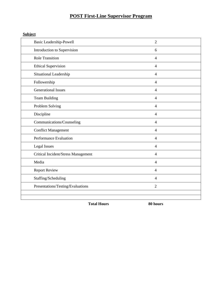# **POST First-Line Supervisor Program**

**Subject**

| <b>Basic Leadership-Powell</b>      | $\overline{2}$ |
|-------------------------------------|----------------|
| Introduction to Supervision         | 6              |
| <b>Role Transition</b>              | $\overline{4}$ |
| <b>Ethical Supervision</b>          | 4              |
| Situational Leadership              | $\overline{4}$ |
| Followership                        | 4              |
| <b>Generational Issues</b>          | $\overline{4}$ |
| Team Building                       | $\overline{4}$ |
| Problem Solving                     | 4              |
| Discipline                          | 4              |
| Communications/Counseling           | $\overline{4}$ |
| <b>Conflict Management</b>          | $\overline{4}$ |
| Performance Evaluation              | 4              |
| <b>Legal Issues</b>                 | $\overline{4}$ |
| Critical Incident/Stress Management | 4              |
| Media                               | $\overline{4}$ |
| <b>Report Review</b>                | $\overline{4}$ |
| Staffing/Scheduling                 | 4              |
| Presentations/Testing/Evaluations   | $\overline{2}$ |
|                                     |                |
|                                     |                |

**Total Hours 80 hours**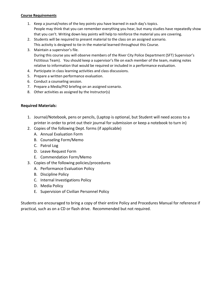#### **Course Requirements**

- 1. Keep a journal/notes of the key points you have learned in each day's topics. People may think that you can remember everything you hear, but many studies have repeatedly show that you can't. Writing down key points will help to reinforce the material you are covering.
- 2. Students will be required to present material to the class on an assigned scenario. This activity is designed to tie-in the material learned throughout this Course.
- 3. Maintain a supervisor's file.

During this course you will observe members of the River City Police Department (SFT) Supervisor's Fictitious Team). You should keep a supervisor's file on each member of the team, making notes relative to information that would be required or included in a performance evaluation.

- 4. Participate in class learning activities and class discussions.
- 5. Prepare a written performance evaluation.
- 6. Conduct a counseling session.
- 7. Prepare a Media/PIO briefing on an assigned scenario.
- 8. Other activities as assigned by the Instructor(s)

#### **Required Materials:**

- 1. Journal/Notebook, pens or pencils, (Laptop is optional, but Student will need access to a printer in order to print out their journal for submission or keep a notebook to turn in)
- 2. Copies of the following Dept. forms (if applicable)
	- A. Annual Evaluation Form
	- B. Counseling Form/Memo
	- C. Patrol Log
	- D. Leave Request Form
	- E. Commendation Form/Memo
- 3. Copies of the following policies/procedures
	- A. Performance Evaluation Policy
	- B. Discipline Policy
	- C. Internal Investigations Policy
	- D. Media Policy
	- E. Supervision of Civilian Personnel Policy

Students are encouraged to bring a copy of their entire Policy and Procedures Manual for reference if practical, such as on a CD or flash drive. Recommended but not required.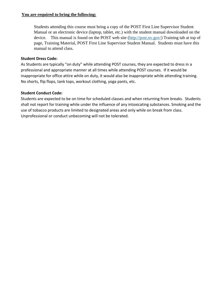#### **You are required to bring the following:**

Students attending this course must bring a copy of the POST First Line Supervisor Student Manual or an electronic device (laptop, tablet, etc.) wi[th the student manu](http://post.nv.gov/)al downloaded on the device. This manual is found on the POST web site (http://post.nv.gov/) Training tab at top of page, Training Material, POST First Line Supervisor Student Manual. Students must have this manual to attend class.

#### **Student Dress Code:**

As Students are typically "on duty" while attending POST courses, they are expected to dress in a professional and appropriate manner at all times while attending POST courses. If it would be inappropriate for office attire while on duty, it would also be inappropriate while attending training. No shorts, flip flops, tank tops, workout clothing, yoga pants, etc.

#### **Student Conduct Code:**

Students are expected to be on time for scheduled classes and when returning from breaks. Students shall not report for training while under the influence of any intoxicating substances. Smoking and the use of tobacco products are limited to designated areas and only while on break from class. Unprofessional or conduct unbecoming will not be tolerated.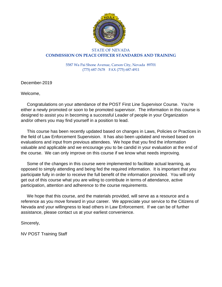

#### STATE OF NEVADA **COMMISSION ON PEACE OFFICER STANDARDS AND TRAINING**

5587 Wa Pai Shone Avenue, Carson City, Nevada 89701 (775) 687-7678 FAX (775) 687-4911

December-2019

Welcome,

 Congratulations on your attendance of the POST First Line Supervisor Course. You're either a newly promoted or soon to be promoted supervisor. The information in this course is designed to assist you in becoming a successful Leader of people in your Organization and/or others you may find yourself in a position to lead.

 This course has been recently updated based on changes in Laws, Policies or Practices in the field of Law Enforcement Supervision. It has also been updated and revised based on evaluations and input from previous attendees. We hope that you find the information valuable and applicable and we encourage you to be candid in your evaluation at the end of the course. We can only improve on this course if we know what needs improving.

 Some of the changes in this course were implemented to facilitate actual learning, as opposed to simply attending and being fed the required information. It is important that you participate fully in order to receive the full benefit of the information provided. You will only get out of this course what you are wiling to contribute in terms of attendance, active participation, attention and adherence to the course requirements.

 We hope that this course, and the materials provided, will serve as a resource and a reference as you move forward in your career. We appreciate your service to the Citizens of Nevada and your willingness to lead others in Law Enforcement. If we can be of further assistance, please contact us at your earliest convenience.

Sincerely,

NV POST Training Staff